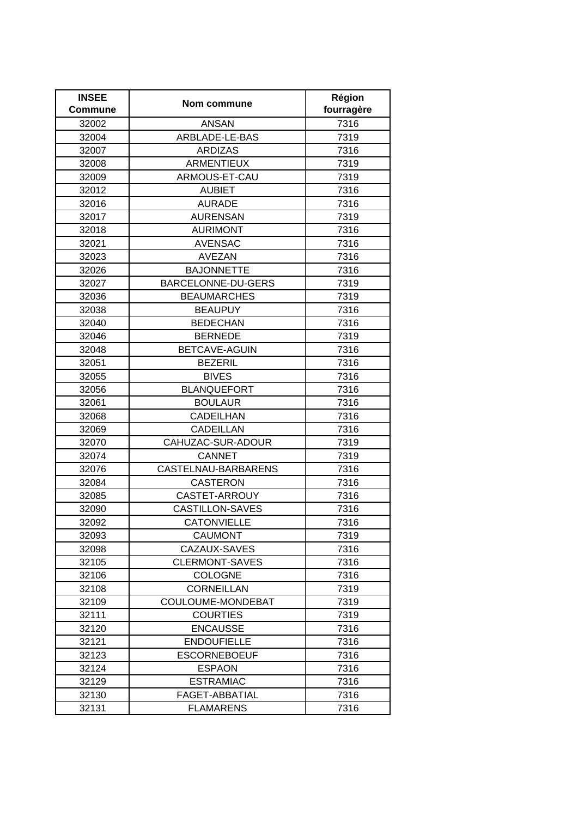| <b>INSEE</b><br>Commune | Nom commune            | Région<br>fourragère |
|-------------------------|------------------------|----------------------|
| 32002                   | <b>ANSAN</b>           | 7316                 |
| 32004                   | ARBLADE-LE-BAS         | 7319                 |
| 32007                   | <b>ARDIZAS</b>         | 7316                 |
| 32008                   | <b>ARMENTIEUX</b>      | 7319                 |
| 32009                   | ARMOUS-ET-CAU          | 7319                 |
| 32012                   | <b>AUBIET</b>          | 7316                 |
| 32016                   | <b>AURADE</b>          | 7316                 |
| 32017                   | <b>AURENSAN</b>        | 7319                 |
| 32018                   | <b>AURIMONT</b>        | 7316                 |
| 32021                   | <b>AVENSAC</b>         | 7316                 |
| 32023                   | <b>AVEZAN</b>          | 7316                 |
| 32026                   | <b>BAJONNETTE</b>      | 7316                 |
| 32027                   | BARCELONNE-DU-GERS     | 7319                 |
| 32036                   | <b>BEAUMARCHES</b>     | 7319                 |
| 32038                   | <b>BEAUPUY</b>         | 7316                 |
| 32040                   | <b>BEDECHAN</b>        | 7316                 |
| 32046                   | <b>BERNEDE</b>         | 7319                 |
| 32048                   | BETCAVE-AGUIN          | 7316                 |
| 32051                   | <b>BEZERIL</b>         | 7316                 |
| 32055                   | <b>BIVES</b>           | 7316                 |
| 32056                   | <b>BLANQUEFORT</b>     | 7316                 |
| 32061                   | <b>BOULAUR</b>         | 7316                 |
| 32068                   | <b>CADEILHAN</b>       | 7316                 |
| 32069                   | <b>CADEILLAN</b>       | 7316                 |
| 32070                   | CAHUZAC-SUR-ADOUR      | 7319                 |
| 32074                   | <b>CANNET</b>          | 7319                 |
| 32076                   | CASTELNAU-BARBARENS    | 7316                 |
| 32084                   | <b>CASTERON</b>        | 7316                 |
| 32085                   | CASTET-ARROUY          | 7316                 |
| 32090                   | <b>CASTILLON-SAVES</b> | 7316                 |
| 32092                   | <b>CATONVIELLE</b>     | 7316                 |
| 32093                   | CAUMONT                | 7319                 |
| 32098                   | CAZAUX-SAVES           | 7316                 |
| 32105                   | <b>CLERMONT-SAVES</b>  | 7316                 |
| 32106                   | <b>COLOGNE</b>         | 7316                 |
| 32108                   | <b>CORNEILLAN</b>      | 7319                 |
| 32109                   | COULOUME-MONDEBAT      | 7319                 |
| 32111                   | <b>COURTIES</b>        | 7319                 |
| 32120                   | <b>ENCAUSSE</b>        | 7316                 |
| 32121                   | <b>ENDOUFIELLE</b>     | 7316                 |
| 32123                   | <b>ESCORNEBOEUF</b>    | 7316                 |
| 32124                   | <b>ESPAON</b>          | 7316                 |
| 32129                   | <b>ESTRAMIAC</b>       | 7316                 |
| 32130                   | FAGET-ABBATIAL         | 7316                 |
| 32131                   | <b>FLAMARENS</b>       | 7316                 |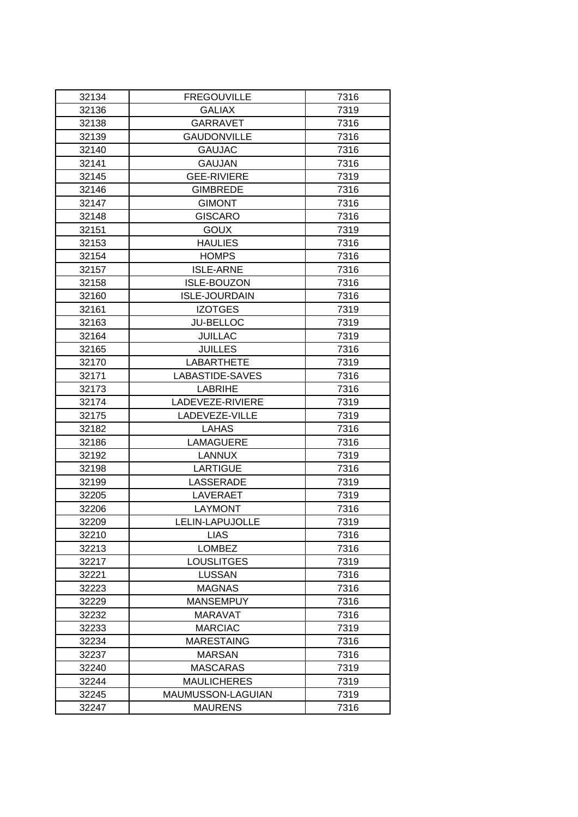| 32134 | <b>FREGOUVILLE</b>   | 7316 |
|-------|----------------------|------|
| 32136 | <b>GALIAX</b>        | 7319 |
| 32138 | <b>GARRAVET</b>      | 7316 |
| 32139 | <b>GAUDONVILLE</b>   | 7316 |
| 32140 | <b>GAUJAC</b>        | 7316 |
| 32141 | <b>GAUJAN</b>        | 7316 |
| 32145 | <b>GEE-RIVIERE</b>   | 7319 |
| 32146 | <b>GIMBREDE</b>      | 7316 |
| 32147 | <b>GIMONT</b>        | 7316 |
| 32148 | <b>GISCARO</b>       | 7316 |
| 32151 | <b>GOUX</b>          | 7319 |
| 32153 | <b>HAULIES</b>       | 7316 |
| 32154 | <b>HOMPS</b>         | 7316 |
| 32157 | <b>ISLE-ARNE</b>     | 7316 |
| 32158 | <b>ISLE-BOUZON</b>   | 7316 |
| 32160 | <b>ISLE-JOURDAIN</b> | 7316 |
| 32161 | <b>IZOTGES</b>       | 7319 |
| 32163 | <b>JU-BELLOC</b>     | 7319 |
| 32164 | <b>JUILLAC</b>       | 7319 |
| 32165 | <b>JUILLES</b>       | 7316 |
| 32170 | <b>LABARTHETE</b>    | 7319 |
| 32171 | LABASTIDE-SAVES      | 7316 |
| 32173 | <b>LABRIHE</b>       | 7316 |
| 32174 | LADEVEZE-RIVIERE     | 7319 |
| 32175 | LADEVEZE-VILLE       | 7319 |
| 32182 | <b>LAHAS</b>         | 7316 |
| 32186 | <b>LAMAGUERE</b>     | 7316 |
| 32192 | <b>LANNUX</b>        | 7319 |
| 32198 | <b>LARTIGUE</b>      | 7316 |
| 32199 | <b>LASSERADE</b>     | 7319 |
| 32205 | LAVERAET             | 7319 |
| 32206 | <b>LAYMONT</b>       | 7316 |
| 32209 | LELIN-LAPUJOLLE      | 7319 |
| 32210 | <b>LIAS</b>          | 7316 |
| 32213 | <b>LOMBEZ</b>        | 7316 |
| 32217 | <b>LOUSLITGES</b>    | 7319 |
| 32221 | <b>LUSSAN</b>        | 7316 |
| 32223 | <b>MAGNAS</b>        | 7316 |
| 32229 | <b>MANSEMPUY</b>     | 7316 |
| 32232 | MARAVAT              | 7316 |
| 32233 | <b>MARCIAC</b>       | 7319 |
| 32234 | <b>MARESTAING</b>    | 7316 |
| 32237 | <b>MARSAN</b>        | 7316 |
| 32240 | <b>MASCARAS</b>      | 7319 |
| 32244 | <b>MAULICHERES</b>   | 7319 |
| 32245 | MAUMUSSON-LAGUIAN    | 7319 |
| 32247 | <b>MAURENS</b>       | 7316 |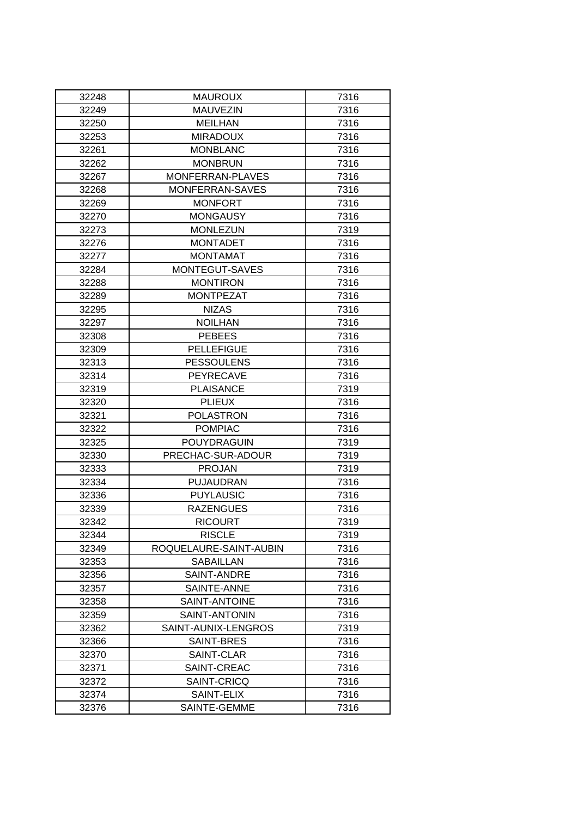| 32248 | <b>MAUROUX</b>         | 7316 |
|-------|------------------------|------|
| 32249 | <b>MAUVEZIN</b>        | 7316 |
| 32250 | <b>MEILHAN</b>         | 7316 |
| 32253 | <b>MIRADOUX</b>        | 7316 |
| 32261 | <b>MONBLANC</b>        | 7316 |
| 32262 | <b>MONBRUN</b>         | 7316 |
| 32267 | MONFERRAN-PLAVES       | 7316 |
| 32268 | MONFERRAN-SAVES        | 7316 |
| 32269 | <b>MONFORT</b>         | 7316 |
| 32270 | <b>MONGAUSY</b>        | 7316 |
| 32273 | <b>MONLEZUN</b>        | 7319 |
| 32276 | <b>MONTADET</b>        | 7316 |
| 32277 | <b>MONTAMAT</b>        | 7316 |
| 32284 | MONTEGUT-SAVES         | 7316 |
| 32288 | <b>MONTIRON</b>        | 7316 |
| 32289 | <b>MONTPEZAT</b>       | 7316 |
| 32295 | <b>NIZAS</b>           | 7316 |
| 32297 | <b>NOILHAN</b>         | 7316 |
| 32308 | <b>PEBEES</b>          | 7316 |
| 32309 | <b>PELLEFIGUE</b>      | 7316 |
| 32313 | <b>PESSOULENS</b>      | 7316 |
| 32314 | <b>PEYRECAVE</b>       | 7316 |
| 32319 | <b>PLAISANCE</b>       | 7319 |
| 32320 | <b>PLIEUX</b>          | 7316 |
| 32321 | <b>POLASTRON</b>       | 7316 |
| 32322 | <b>POMPIAC</b>         | 7316 |
| 32325 | POUYDRAGUIN            | 7319 |
| 32330 | PRECHAC-SUR-ADOUR      | 7319 |
| 32333 | <b>PROJAN</b>          | 7319 |
| 32334 | <b>PUJAUDRAN</b>       | 7316 |
| 32336 | <b>PUYLAUSIC</b>       | 7316 |
| 32339 | <b>RAZENGUES</b>       | 7316 |
| 32342 | <b>RICOURT</b>         | 7319 |
| 32344 | <b>RISCLE</b>          | 7319 |
| 32349 | ROQUELAURE-SAINT-AUBIN | 7316 |
| 32353 | SABAILLAN              | 7316 |
| 32356 | SAINT-ANDRE            | 7316 |
| 32357 | SAINTE-ANNE            | 7316 |
| 32358 | SAINT-ANTOINE          | 7316 |
| 32359 | SAINT-ANTONIN          | 7316 |
| 32362 | SAINT-AUNIX-LENGROS    | 7319 |
| 32366 | SAINT-BRES             | 7316 |
| 32370 | SAINT-CLAR             | 7316 |
| 32371 | SAINT-CREAC            | 7316 |
| 32372 | SAINT-CRICQ            | 7316 |
| 32374 | SAINT-ELIX             | 7316 |
| 32376 | SAINTE-GEMME           | 7316 |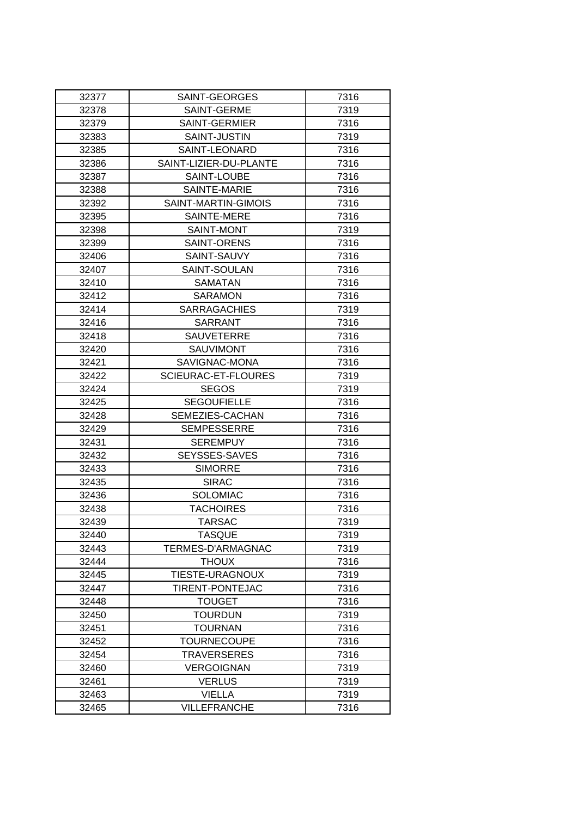| 32377          | SAINT-GEORGES                    | 7316         |
|----------------|----------------------------------|--------------|
| 32378          | SAINT-GERME                      | 7319         |
| 32379          | SAINT-GERMIER                    | 7316         |
| 32383          | SAINT-JUSTIN                     | 7319         |
| 32385          | SAINT-LEONARD                    | 7316         |
| 32386          | SAINT-LIZIER-DU-PLANTE           | 7316         |
| 32387          | SAINT-LOUBE                      | 7316         |
| 32388          | SAINTE-MARIE                     | 7316         |
| 32392          | SAINT-MARTIN-GIMOIS              | 7316         |
| 32395          | SAINTE-MERE                      | 7316         |
| 32398          | SAINT-MONT                       | 7319         |
| 32399          | SAINT-ORENS                      | 7316         |
| 32406          | SAINT-SAUVY                      | 7316         |
| 32407          | SAINT-SOULAN                     | 7316         |
| 32410          | <b>SAMATAN</b>                   | 7316         |
| 32412          | <b>SARAMON</b>                   | 7316         |
| 32414          | <b>SARRAGACHIES</b>              | 7319         |
| 32416          | SARRANT                          | 7316         |
| 32418          | <b>SAUVETERRE</b>                | 7316         |
| 32420          | SAUVIMONT                        | 7316         |
| 32421          | SAVIGNAC-MONA                    | 7316         |
| 32422          | SCIEURAC-ET-FLOURES              | 7319         |
| 32424          | <b>SEGOS</b>                     | 7319         |
| 32425          | <b>SEGOUFIELLE</b>               | 7316         |
| 32428          | SEMEZIES-CACHAN                  | 7316         |
| 32429          | <b>SEMPESSERRE</b>               | 7316         |
| 32431          | SEREMPUY                         | 7316         |
| 32432          | <b>SEYSSES-SAVES</b>             | 7316         |
| 32433          | <b>SIMORRE</b>                   | 7316         |
| 32435          | <b>SIRAC</b>                     | 7316         |
| 32436          | <b>SOLOMIAC</b>                  | 7316         |
| 32438          | <b>TACHOIRES</b>                 | 7316         |
| 32439          | <b>TARSAC</b>                    | 7319         |
| 32440          | <b>TASQUE</b>                    | 7319         |
| 32443          | TERMES-D'ARMAGNAC                | 7319         |
| 32444          | <b>THOUX</b>                     | 7316         |
| 32445          | TIESTE-URAGNOUX                  | 7319         |
| 32447          | TIRENT-PONTEJAC                  | 7316         |
| 32448          | <b>TOUGET</b>                    | 7316         |
| 32450          | <b>TOURDUN</b><br><b>TOURNAN</b> | 7319         |
| 32451<br>32452 | <b>TOURNECOUPE</b>               | 7316         |
| 32454          | <b>TRAVERSERES</b>               | 7316<br>7316 |
| 32460          | <b>VERGOIGNAN</b>                | 7319         |
| 32461          | <b>VERLUS</b>                    | 7319         |
| 32463          | <b>VIELLA</b>                    | 7319         |
| 32465          | <b>VILLEFRANCHE</b>              | 7316         |
|                |                                  |              |